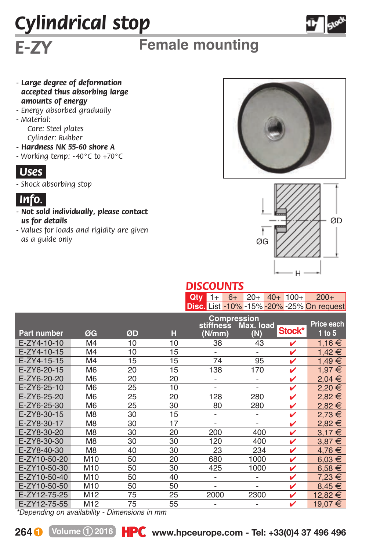# *Cylindrical stop*



### *E-ZY* **Female mounting**

- *Large degree of deformation accepted thus absorbing large amounts of energy*
- *Energy absorbed gradually*
- *Material:*

*Core: Steel plates Cylinder: Rubber*

- *Hardness NK 55-60 shore A*
- *Working temp: - 40°C to +70°C*



*- Shock absorbing stop*



- *Not sold individually, please contact us for details*
- *Values for loads and rigidity are given as a guide only*





## *DISCOUNTS*

|  |  |  | <b>Qty</b> 1+ 6+ 20+ 40+ 100+ 200+        |
|--|--|--|-------------------------------------------|
|  |  |  | Disc. List -10% -15% -20% -25% On request |

|                    |                 |    |    | <b>Compression</b><br>stiffness<br>Max. load |                              |        | Price each |
|--------------------|-----------------|----|----|----------------------------------------------|------------------------------|--------|------------|
| <b>Part number</b> | ØG              | ØD | н  | (N/mm)                                       | (N)                          | Stock* | $1$ to $5$ |
| E-ZY4-10-10        | M <sub>4</sub>  | 10 | 10 | 38                                           | 43                           | v      | 1,16 €     |
| E-ZY4-10-15        | M4              | 10 | 15 | $\overline{\phantom{a}}$                     | $\qquad \qquad \blacksquare$ | ✓      | 1,42 €     |
| E-ZY4-15-15        | M4              | 15 | 15 | 74                                           | 95                           | ✓      | €<br>1,49  |
| E-ZY6-20-15        | M <sub>6</sub>  | 20 | 15 | 138                                          | 170                          | v      | €<br>1,97  |
| E-ZY6-20-20        | M <sub>6</sub>  | 20 | 20 | $\overline{\phantom{a}}$                     | $\overline{\phantom{0}}$     | ✓      | $2,04 \in$ |
| E-ZY6-25-10        | M <sub>6</sub>  | 25 | 10 | $\qquad \qquad \blacksquare$                 | $\overline{a}$               | ✓      | €<br>2,20  |
| E-ZY6-25-20        | M <sub>6</sub>  | 25 | 20 | 128                                          | 280                          | v      | 2,82€      |
| E-ZY6-25-30        | M <sub>6</sub>  | 25 | 30 | 80                                           | 280                          | ✓      | $2,82 \in$ |
| E-ZY8-30-15        | M <sub>8</sub>  | 30 | 15 | $\overline{\phantom{0}}$                     | $\overline{\phantom{0}}$     | v      | €<br>2.73  |
| E-ZY8-30-17        | M8              | 30 | 17 | $\overline{\phantom{0}}$                     | $\overline{a}$               | ✓      | €<br>2.82  |
| E-ZY8-30-20        | M <sub>8</sub>  | 30 | 20 | 200                                          | 400                          | ✓      | €<br>3.17  |
| E-ZY8-30-30        | M <sub>8</sub>  | 30 | 30 | 120                                          | 400                          | ✓      | €<br>3,87  |
| E-ZY8-40-30        | M <sub>8</sub>  | 40 | 30 | 23                                           | 234                          | v      | €<br>4,76  |
| E-ZY10-50-20       | M <sub>10</sub> | 50 | 20 | 680                                          | 1000                         | ✓      | $6.03 \in$ |
| E-ZY10-50-30       | M <sub>10</sub> | 50 | 30 | 425                                          | 1000                         | ✓      | $6,58 \in$ |
| E-ZY10-50-40       | M <sub>10</sub> | 50 | 40 | $\overline{\phantom{0}}$                     | $\overline{\phantom{0}}$     | ✓      | €<br>7.23  |
| E-ZY10-50-50       | M <sub>10</sub> | 50 | 50 | $\overline{\phantom{0}}$                     | $\overline{\phantom{0}}$     | ✓      | €<br>8,45  |
| E-ZY12-75-25       | M <sub>12</sub> | 75 | 25 | 2000                                         | 2300                         | v      | 12,82 €    |
| E-ZY12-75-55       | M <sub>12</sub> | 75 | 55 |                                              |                              | v      | €<br>19,07 |

*\*Depending on availability - Dimensions in mm*